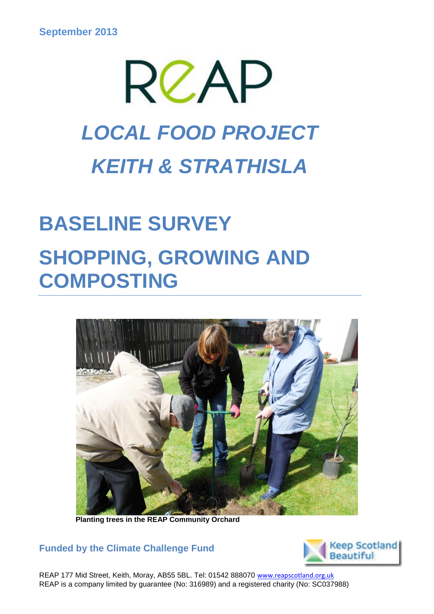

# **BASELINE SURVEY SHOPPING, GROWING AND COMPOSTING**



 **Planting trees in the REAP Community Orchard**

**Funded by the Climate Challenge Fund** 



REAP 177 Mid Street, Keith, Moray, AB55 5BL. Tel: 01542 888070 www.reapscotland.org.uk REAP is a company limited by guarantee (No: 316989) and a registered charity (No: SC037988)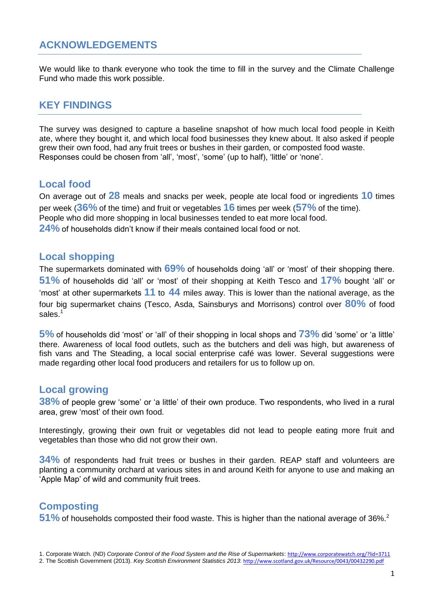# **ACKNOWLEDGEMENTS**

We would like to thank everyone who took the time to fill in the survey and the Climate Challenge Fund who made this work possible.

## **KEY FINDINGS**

The survey was designed to capture a baseline snapshot of how much local food people in Keith ate, where they bought it, and which local food businesses they knew about. It also asked if people grew their own food, had any fruit trees or bushes in their garden, or composted food waste. Responses could be chosen from 'all', 'most', 'some' (up to half), 'little' or 'none'.

### **Local food**

On average out of **28** meals and snacks per week, people ate local food or ingredients **10** times per week (**36%** of the time) and fruit or vegetables **16** times per week (**57%** of the time). People who did more shopping in local businesses tended to eat more local food. **24%** of households didn't know if their meals contained local food or not.

### **Local shopping**

The supermarkets dominated with **69%** of households doing 'all' or 'most' of their shopping there. **51%** of households did 'all' or 'most' of their shopping at Keith Tesco and **17%** bought 'all' or 'most' at other supermarkets **11** to **44** miles away. This is lower than the national average, as the four big supermarket chains (Tesco, Asda, Sainsburys and Morrisons) control over **80%** of food sales.<sup>1</sup>

**5%** of households did 'most' or 'all' of their shopping in local shops and **73%** did 'some' or 'a little' there. Awareness of local food outlets, such as the butchers and deli was high, but awareness of fish vans and The Steading, a local social enterprise café was lower. Several suggestions were made regarding other local food producers and retailers for us to follow up on.

### **Local growing**

**38%** of people grew 'some' or 'a little' of their own produce. Two respondents, who lived in a rural area, grew 'most' of their own food.

Interestingly, growing their own fruit or vegetables did not lead to people eating more fruit and vegetables than those who did not grow their own.

**34%** of respondents had fruit trees or bushes in their garden. REAP staff and volunteers are planting a community orchard at various sites in and around Keith for anyone to use and making an 'Apple Map' of wild and community fruit trees.

# **Composting**

**51%** of households composted their food waste. This is higher than the national average of 36%.<sup>2</sup>

<sup>1.</sup> Corporate Watch. (ND) *Corporate Control of the Food System and the Rise of Supermarkets*: <http://www.corporatewatch.org/?lid=3711>

<sup>2.</sup> The Scottish Government (2013). *Key Scottish Environment Statistics 2013*: <http://www.scotland.gov.uk/Resource/0043/00432290.pdf>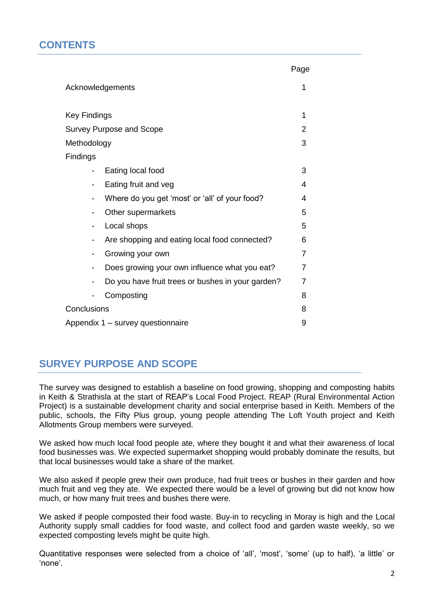# **CONTENTS**

|                                                   | Page           |  |  |  |
|---------------------------------------------------|----------------|--|--|--|
| Acknowledgements                                  |                |  |  |  |
|                                                   |                |  |  |  |
| <b>Key Findings</b>                               | 1              |  |  |  |
| <b>Survey Purpose and Scope</b>                   | $\overline{2}$ |  |  |  |
| Methodology                                       | 3              |  |  |  |
| <b>Findings</b>                                   |                |  |  |  |
| Eating local food                                 | 3              |  |  |  |
| Eating fruit and veg                              | 4              |  |  |  |
| Where do you get 'most' or 'all' of your food?    | 4              |  |  |  |
| Other supermarkets                                | 5              |  |  |  |
| Local shops                                       | 5              |  |  |  |
| Are shopping and eating local food connected?     | 6              |  |  |  |
| Growing your own                                  | $\overline{7}$ |  |  |  |
| Does growing your own influence what you eat?     | $\overline{7}$ |  |  |  |
| Do you have fruit trees or bushes in your garden? | $\overline{7}$ |  |  |  |
| Composting                                        | 8              |  |  |  |
| Conclusions                                       | 8              |  |  |  |
| Appendix 1 - survey questionnaire                 |                |  |  |  |

# **SURVEY PURPOSE AND SCOPE**

The survey was designed to establish a baseline on food growing, shopping and composting habits in Keith & Strathisla at the start of REAP's Local Food Project. REAP (Rural Environmental Action Project) is a sustainable development charity and social enterprise based in Keith. Members of the public, schools, the Fifty Plus group, young people attending The Loft Youth project and Keith Allotments Group members were surveyed.

We asked how much local food people ate, where they bought it and what their awareness of local food businesses was. We expected supermarket shopping would probably dominate the results, but that local businesses would take a share of the market.

We also asked if people grew their own produce, had fruit trees or bushes in their garden and how much fruit and veg they ate. We expected there would be a level of growing but did not know how much, or how many fruit trees and bushes there were.

We asked if people composted their food waste. Buy-in to recycling in Moray is high and the Local Authority supply small caddies for food waste, and collect food and garden waste weekly, so we expected composting levels might be quite high.

Quantitative responses were selected from a choice of 'all', 'most', 'some' (up to half), 'a little' or 'none'.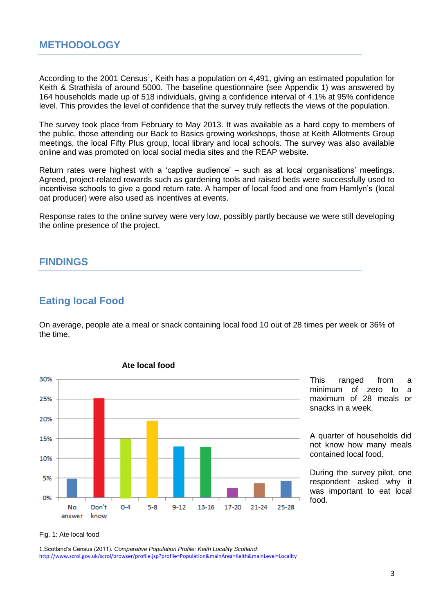According to the 2001 Census<sup>1</sup>, Keith has a population on 4,491, giving an estimated population for Keith & Strathisla of around 5000. The baseline questionnaire (see Appendix 1) was answered by 164 households made up of 518 individuals, giving a confidence interval of 4.1% at 95% confidence level. This provides the level of confidence that the survey truly reflects the views of the population.

The survey took place from February to May 2013. It was available as a hard copy to members of the public, those attending our Back to Basics growing workshops, those at Keith Allotments Group meetings, the local Fifty Plus group, local library and local schools. The survey was also available online and was promoted on local social media sites and the REAP website.

Return rates were highest with a 'captive audience' – such as at local organisations' meetings. Agreed, project-related rewards such as gardening tools and raised beds were successfully used to incentivise schools to give a good return rate. A hamper of local food and one from Hamlyn's (local oat producer) were also used as incentives at events.

Response rates to the online survey were very low, possibly partly because we were still developing the online presence of the project.

## **FINDINGS**

## **Eating local Food**

On average, people ate a meal or snack containing local food 10 out of 28 times per week or 36% of the time.



**Ate local food** 

This ranged from a minimum of zero to a maximum of 28 meals or snacks in a week.

A quarter of households did not know how many meals contained local food.

During the survey pilot, one respondent asked why it was important to eat local food.

#### Fig. 1: Ate local food

1.Scotland's Census (2011). *Comparative Population Profile: Keith Locality Scotland:* <http://www.scrol.gov.uk/scrol/browser/profile.jsp?profile=Population&mainArea=Keith&mainLevel=Locality>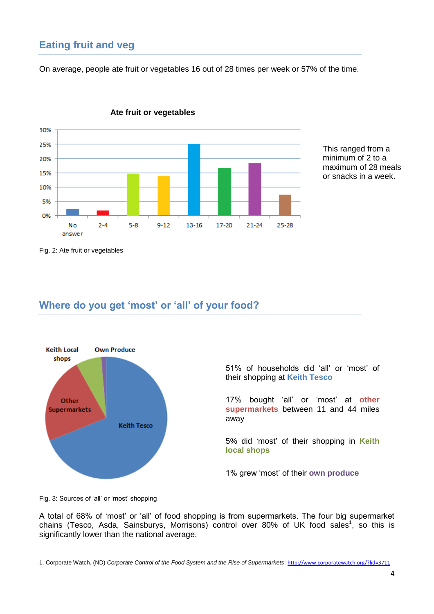# **Eating fruit and veg**

On average, people ate fruit or vegetables 16 out of 28 times per week or 57% of the time.





This ranged from a minimum of 2 to a maximum of 28 meals or snacks in a week.

Fig. 2: Ate fruit or vegetables

# **Where do you get 'most' or 'all' of your food?**



51% of households did 'all' or 'most' of their shopping at **Keith Tesco**

17% bought 'all' or 'most' at **other supermarkets** between 11 and 44 miles away

5% did 'most' of their shopping in **Keith local shops**

1% grew 'most' of their **own produce**

Fig. 3: Sources of 'all' or 'most' shopping

A total of 68% of 'most' or 'all' of food shopping is from supermarkets. The four big supermarket chains (Tesco, Asda, Sainsburys, Morrisons) control over 80% of UK food sales<sup>1</sup>, so this is significantly lower than the national average.

1. Corporate Watch. (ND) *Corporate Control of the Food System and the Rise of Supermarkets*: <http://www.corporatewatch.org/?lid=3711>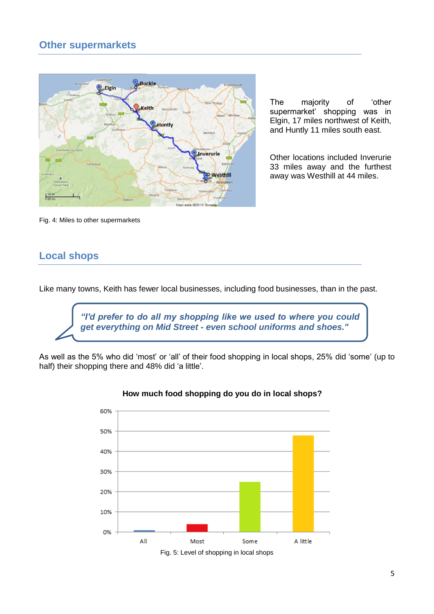# **Other supermarkets**



The majority of 'other supermarket' shopping was in Elgin, 17 miles northwest of Keith, and Huntly 11 miles south east.

Other locations included Inverurie 33 miles away and the furthest away was Westhill at 44 miles.

Fig. 4: Miles to other supermarkets

# **Local shops**

Like many towns, Keith has fewer local businesses, including food businesses, than in the past.



As well as the 5% who did 'most' or 'all' of their food shopping in local shops, 25% did 'some' (up to half) their shopping there and 48% did 'a little'.



#### **How much food shopping do you do in local shops?**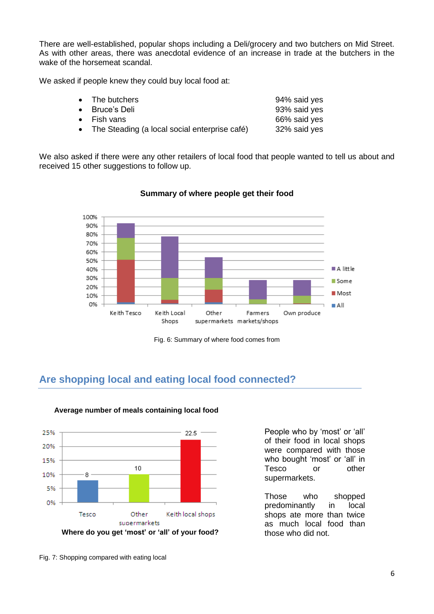There are well-established, popular shops including a Deli/grocery and two butchers on Mid Street. As with other areas, there was anecdotal evidence of an increase in trade at the butchers in the wake of the horsemeat scandal.

We asked if people knew they could buy local food at:

| • The butchers                                  | 94% said yes |
|-------------------------------------------------|--------------|
| • Bruce's Deli                                  | 93% said yes |
| $\bullet$ Fish vans                             | 66% said yes |
| • The Steading (a local social enterprise café) | 32% said yes |

We also asked if there were any other retailers of local food that people wanted to tell us about and received 15 other suggestions to follow up.



#### **Summary of where people get their food**

Fig. 6: Summary of where food comes from

# **Are shopping local and eating local food connected?**



#### **Average number of meals containing local food**

People who by 'most' or 'all' of their food in local shops were compared with those who bought 'most' or 'all' in Tesco or other supermarkets.

Those who shopped predominantly in local shops ate more than twice as much local food than those who did not.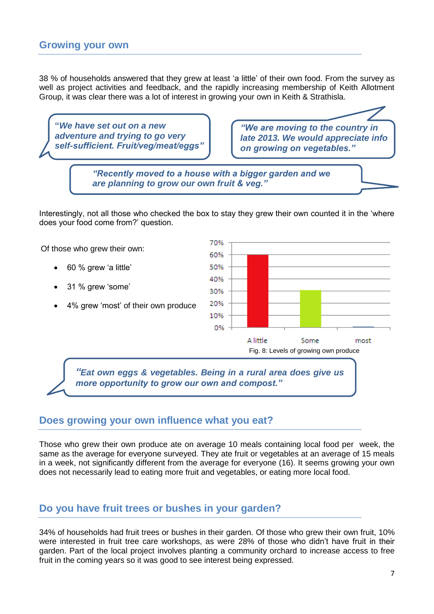38 % of households answered that they grew at least 'a little' of their own food. From the survey as well as project activities and feedback, and the rapidly increasing membership of Keith Allotment Group, it was clear there was a lot of interest in growing your own in Keith & Strathisla.

**"***We have set out on a new adventure and trying to go very self-sufficient. Fruit/veg/meat/eggs"*

*"We are moving to the country in late 2013. We would appreciate info on growing on vegetables."*

*"Recently moved to a house with a bigger garden and we are planning to grow our own fruit & veg."*

Interestingly, not all those who checked the box to stay they grew their own counted it in the 'where does your food come from?' question.



# **Does growing your own influence what you eat?**

Those who grew their own produce ate on average 10 meals containing local food per week, the same as the average for everyone surveyed. They ate fruit or vegetables at an average of 15 meals in a week, not significantly different from the average for everyone (16). It seems growing your own does not necessarily lead to eating more fruit and vegetables, or eating more local food.

# **Do you have fruit trees or bushes in your garden?**

34% of households had fruit trees or bushes in their garden. Of those who grew their own fruit, 10% were interested in fruit tree care workshops, as were 28% of those who didn't have fruit in their garden. Part of the local project involves planting a community orchard to increase access to free fruit in the coming years so it was good to see interest being expressed.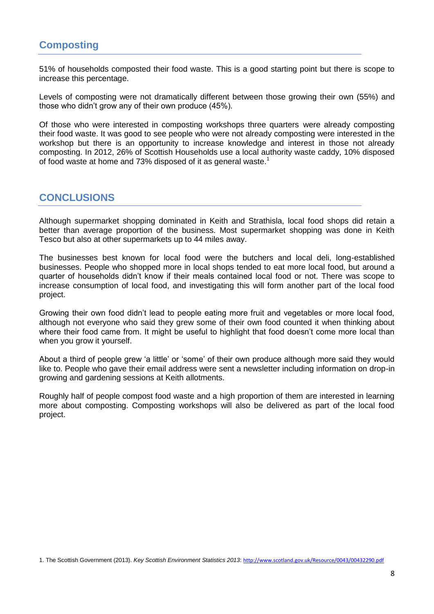51% of households composted their food waste. This is a good starting point but there is scope to increase this percentage.

Levels of composting were not dramatically different between those growing their own (55%) and those who didn't grow any of their own produce (45%).

Of those who were interested in composting workshops three quarters were already composting their food waste. It was good to see people who were not already composting were interested in the workshop but there is an opportunity to increase knowledge and interest in those not already composting. In 2012, 26% of Scottish Households use a local authority waste caddy, 10% disposed of food waste at home and 73% disposed of it as general waste.<sup>1</sup>

# **CONCLUSIONS**

Although supermarket shopping dominated in Keith and Strathisla, local food shops did retain a better than average proportion of the business. Most supermarket shopping was done in Keith Tesco but also at other supermarkets up to 44 miles away.

The businesses best known for local food were the butchers and local deli, long-established businesses. People who shopped more in local shops tended to eat more local food, but around a quarter of households didn't know if their meals contained local food or not. There was scope to increase consumption of local food, and investigating this will form another part of the local food project.

Growing their own food didn't lead to people eating more fruit and vegetables or more local food, although not everyone who said they grew some of their own food counted it when thinking about where their food came from. It might be useful to highlight that food doesn't come more local than when you grow it yourself.

About a third of people grew 'a little' or 'some' of their own produce although more said they would like to. People who gave their email address were sent a newsletter including information on drop-in growing and gardening sessions at Keith allotments.

Roughly half of people compost food waste and a high proportion of them are interested in learning more about composting. Composting workshops will also be delivered as part of the local food project.